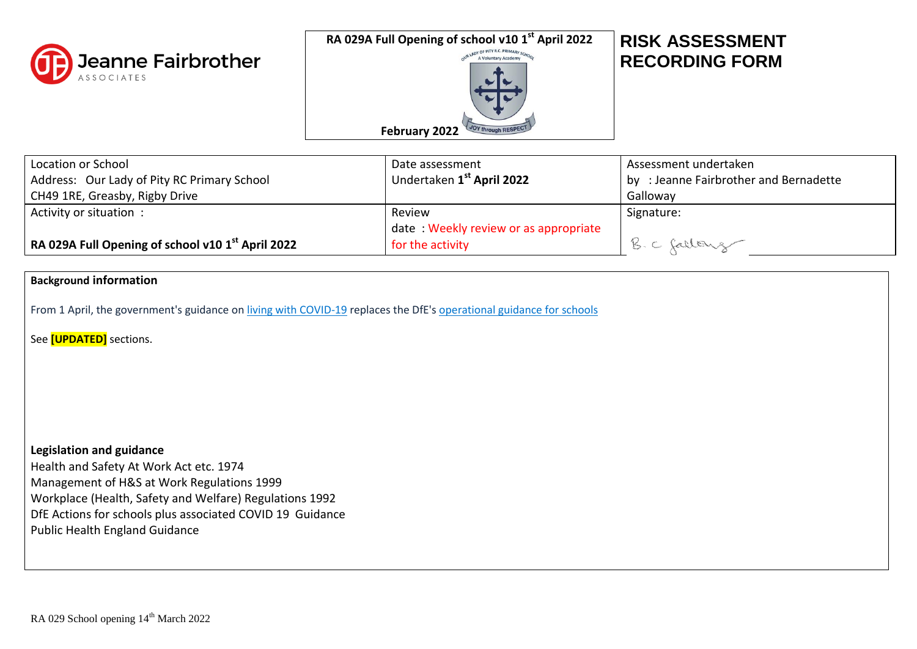

**RA 029A Full Opening of school v10 1 st April 2022**



## **RISK ASSESSMENT RECORDING FORM**

| Location or School<br>Address: Our Lady of Pity RC Primary School         | Date assessment<br>Undertaken 1 <sup>st</sup> April 2022 | Assessment undertaken<br>by : Jeanne Fairbrother and Bernadette |
|---------------------------------------------------------------------------|----------------------------------------------------------|-----------------------------------------------------------------|
| CH49 1RE, Greasby, Rigby Drive                                            |                                                          | Galloway                                                        |
| Activity or situation:                                                    | Review                                                   | Signature:                                                      |
|                                                                           | date: Weekly review or as appropriate                    |                                                                 |
| $^\text{l}$ RA 029A Full Opening of school v10 1 <sup>st</sup> April 2022 | for the activity                                         | B. C fallong                                                    |

## **Background information**

From 1 April, the government's guidance on [living with COVID-19](https://www.gov.uk/government/publications/covid-19-response-living-with-covid-19) replaces the DfE's [operational guidance for schools](https://www.gov.uk/government/publications/actions-for-schools-during-the-coronavirus-outbreak)

See **[UPDATED]** sections.

**Legislation and guidance** Health and Safety At Work Act etc. 1974 Management of H&S at Work Regulations 1999 Workplace (Health, Safety and Welfare) Regulations 1992 DfE Actions for schools plus associated COVID 19 Guidance Public Health England Guidance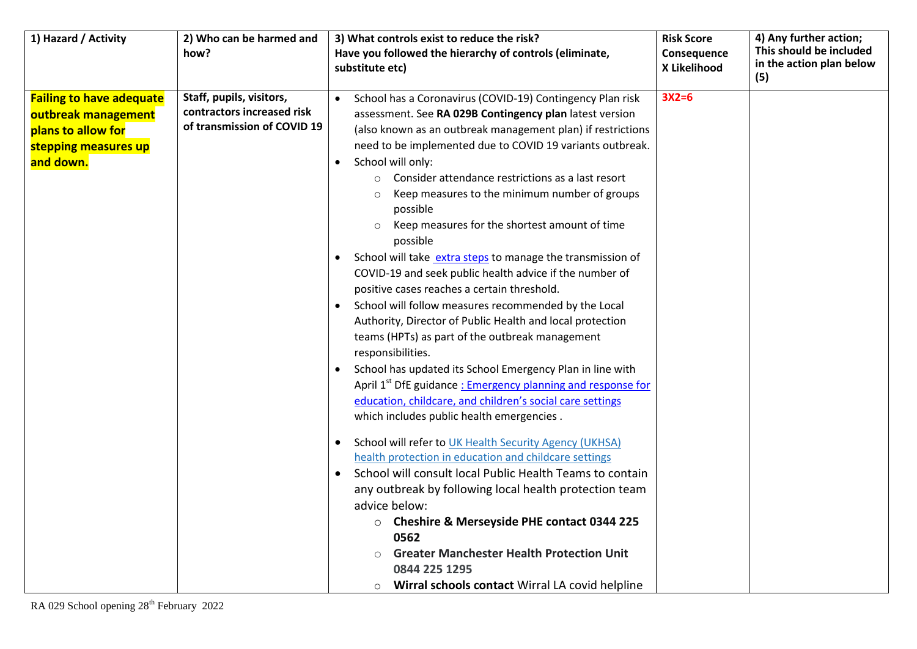| 1) Hazard / Activity            | 2) Who can be harmed and    | 3) What controls exist to reduce the risk?                              | <b>Risk Score</b> | 4) Any further action;   |
|---------------------------------|-----------------------------|-------------------------------------------------------------------------|-------------------|--------------------------|
|                                 | how?                        | Have you followed the hierarchy of controls (eliminate,                 | Consequence       | This should be included  |
|                                 |                             | substitute etc)                                                         | X Likelihood      | in the action plan below |
|                                 |                             |                                                                         |                   | (5)                      |
| <b>Failing to have adequate</b> | Staff, pupils, visitors,    | School has a Coronavirus (COVID-19) Contingency Plan risk               | $3X2=6$           |                          |
| outbreak management             | contractors increased risk  | assessment. See RA 029B Contingency plan latest version                 |                   |                          |
| plans to allow for              | of transmission of COVID 19 | (also known as an outbreak management plan) if restrictions             |                   |                          |
| stepping measures up            |                             | need to be implemented due to COVID 19 variants outbreak.               |                   |                          |
| and down.                       |                             | School will only:                                                       |                   |                          |
|                                 |                             | Consider attendance restrictions as a last resort<br>$\circ$            |                   |                          |
|                                 |                             | Keep measures to the minimum number of groups<br>$\circ$                |                   |                          |
|                                 |                             | possible                                                                |                   |                          |
|                                 |                             | Keep measures for the shortest amount of time<br>$\circ$                |                   |                          |
|                                 |                             | possible                                                                |                   |                          |
|                                 |                             | School will take extra steps to manage the transmission of              |                   |                          |
|                                 |                             | COVID-19 and seek public health advice if the number of                 |                   |                          |
|                                 |                             | positive cases reaches a certain threshold.                             |                   |                          |
|                                 |                             | School will follow measures recommended by the Local                    |                   |                          |
|                                 |                             | Authority, Director of Public Health and local protection               |                   |                          |
|                                 |                             | teams (HPTs) as part of the outbreak management                         |                   |                          |
|                                 |                             | responsibilities.                                                       |                   |                          |
|                                 |                             | School has updated its School Emergency Plan in line with               |                   |                          |
|                                 |                             | April 1 <sup>st</sup> DfE guidance: Emergency planning and response for |                   |                          |
|                                 |                             | education, childcare, and children's social care settings               |                   |                          |
|                                 |                             | which includes public health emergencies.                               |                   |                          |
|                                 |                             | School will refer to UK Health Security Agency (UKHSA)                  |                   |                          |
|                                 |                             | health protection in education and childcare settings                   |                   |                          |
|                                 |                             | School will consult local Public Health Teams to contain                |                   |                          |
|                                 |                             | any outbreak by following local health protection team                  |                   |                          |
|                                 |                             | advice below:                                                           |                   |                          |
|                                 |                             | <b>Cheshire &amp; Merseyside PHE contact 0344 225</b><br>$\circ$        |                   |                          |
|                                 |                             | 0562                                                                    |                   |                          |
|                                 |                             | <b>Greater Manchester Health Protection Unit</b>                        |                   |                          |
|                                 |                             | 0844 225 1295                                                           |                   |                          |
|                                 |                             | Wirral schools contact Wirral LA covid helpline<br>$\circ$              |                   |                          |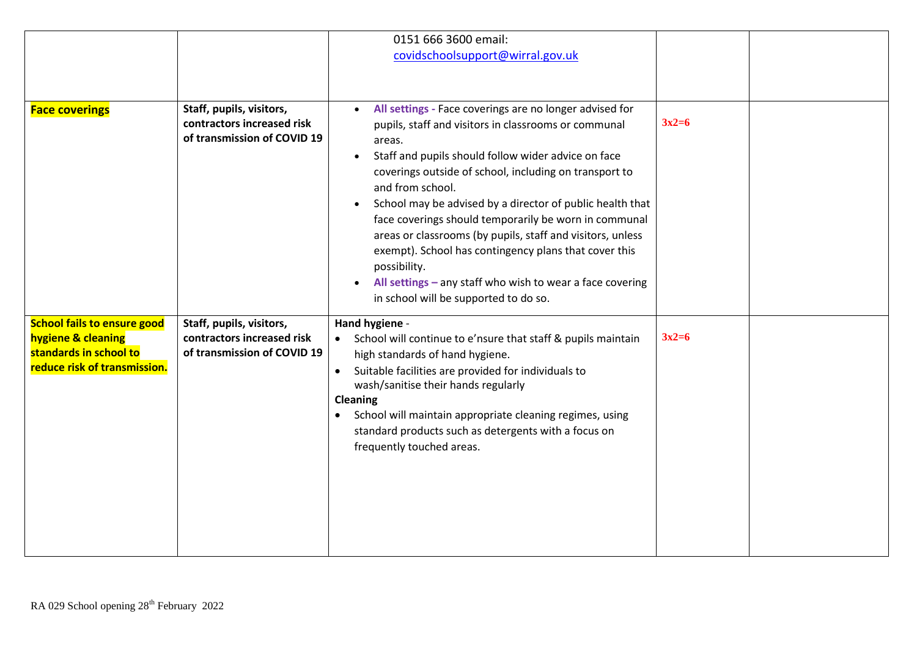|                                                                                                                    |                                                                                       | 0151 666 3600 email:                                                                                                                                                                                                                                                                                                                                                                                                                                                                                                                                                                                  |         |  |
|--------------------------------------------------------------------------------------------------------------------|---------------------------------------------------------------------------------------|-------------------------------------------------------------------------------------------------------------------------------------------------------------------------------------------------------------------------------------------------------------------------------------------------------------------------------------------------------------------------------------------------------------------------------------------------------------------------------------------------------------------------------------------------------------------------------------------------------|---------|--|
|                                                                                                                    |                                                                                       | covidschoolsupport@wirral.gov.uk                                                                                                                                                                                                                                                                                                                                                                                                                                                                                                                                                                      |         |  |
|                                                                                                                    |                                                                                       |                                                                                                                                                                                                                                                                                                                                                                                                                                                                                                                                                                                                       |         |  |
|                                                                                                                    |                                                                                       |                                                                                                                                                                                                                                                                                                                                                                                                                                                                                                                                                                                                       |         |  |
| <b>Face coverings</b>                                                                                              | Staff, pupils, visitors,<br>contractors increased risk<br>of transmission of COVID 19 | All settings - Face coverings are no longer advised for<br>pupils, staff and visitors in classrooms or communal<br>areas.<br>Staff and pupils should follow wider advice on face<br>coverings outside of school, including on transport to<br>and from school.<br>School may be advised by a director of public health that<br>$\bullet$<br>face coverings should temporarily be worn in communal<br>areas or classrooms (by pupils, staff and visitors, unless<br>exempt). School has contingency plans that cover this<br>possibility.<br>All settings - any staff who wish to wear a face covering | $3x2=6$ |  |
|                                                                                                                    |                                                                                       | in school will be supported to do so.                                                                                                                                                                                                                                                                                                                                                                                                                                                                                                                                                                 |         |  |
| <b>School fails to ensure good</b><br>hygiene & cleaning<br>standards in school to<br>reduce risk of transmission. | Staff, pupils, visitors,<br>contractors increased risk<br>of transmission of COVID 19 | Hand hygiene -<br>School will continue to e'nsure that staff & pupils maintain<br>high standards of hand hygiene.<br>Suitable facilities are provided for individuals to<br>$\bullet$<br>wash/sanitise their hands regularly<br>Cleaning<br>School will maintain appropriate cleaning regimes, using<br>standard products such as detergents with a focus on<br>frequently touched areas.                                                                                                                                                                                                             | $3x2=6$ |  |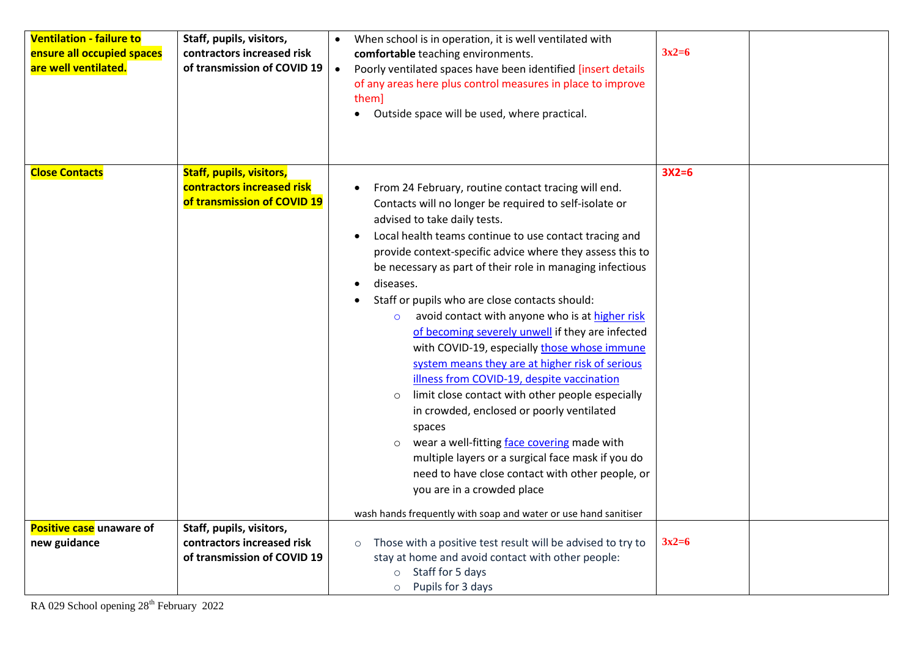| <b>Ventilation - failure to</b><br>ensure all occupied spaces<br>are well ventilated. | Staff, pupils, visitors,<br>contractors increased risk<br>of transmission of COVID 19        | When school is in operation, it is well ventilated with<br>comfortable teaching environments.<br>Poorly ventilated spaces have been identified [insert details<br>$\bullet$<br>of any areas here plus control measures in place to improve<br>them]<br>Outside space will be used, where practical.                                                                                                                                                                                                                                                                                                                                                                                                                                                                                                                                                                                                                                                                                                                                                                        | $3x2=6$ |
|---------------------------------------------------------------------------------------|----------------------------------------------------------------------------------------------|----------------------------------------------------------------------------------------------------------------------------------------------------------------------------------------------------------------------------------------------------------------------------------------------------------------------------------------------------------------------------------------------------------------------------------------------------------------------------------------------------------------------------------------------------------------------------------------------------------------------------------------------------------------------------------------------------------------------------------------------------------------------------------------------------------------------------------------------------------------------------------------------------------------------------------------------------------------------------------------------------------------------------------------------------------------------------|---------|
| <b>Close Contacts</b>                                                                 | <b>Staff, pupils, visitors,</b><br>contractors increased risk<br>of transmission of COVID 19 | From 24 February, routine contact tracing will end.<br>Contacts will no longer be required to self-isolate or<br>advised to take daily tests.<br>Local health teams continue to use contact tracing and<br>$\bullet$<br>provide context-specific advice where they assess this to<br>be necessary as part of their role in managing infectious<br>diseases.<br>Staff or pupils who are close contacts should:<br>avoid contact with anyone who is at higher risk<br>$\circ$<br>of becoming severely unwell if they are infected<br>with COVID-19, especially those whose immune<br>system means they are at higher risk of serious<br>illness from COVID-19, despite vaccination<br>limit close contact with other people especially<br>$\circ$<br>in crowded, enclosed or poorly ventilated<br>spaces<br>wear a well-fitting face covering made with<br>$\circ$<br>multiple layers or a surgical face mask if you do<br>need to have close contact with other people, or<br>you are in a crowded place<br>wash hands frequently with soap and water or use hand sanitiser | $3X2=6$ |
| Positive case unaware of<br>new guidance                                              | Staff, pupils, visitors,<br>contractors increased risk                                       | Those with a positive test result will be advised to try to<br>$\circ$                                                                                                                                                                                                                                                                                                                                                                                                                                                                                                                                                                                                                                                                                                                                                                                                                                                                                                                                                                                                     | $3x2=6$ |
|                                                                                       | of transmission of COVID 19                                                                  | stay at home and avoid contact with other people:<br>Staff for 5 days<br>$\circ$<br>Pupils for 3 days<br>$\circ$                                                                                                                                                                                                                                                                                                                                                                                                                                                                                                                                                                                                                                                                                                                                                                                                                                                                                                                                                           |         |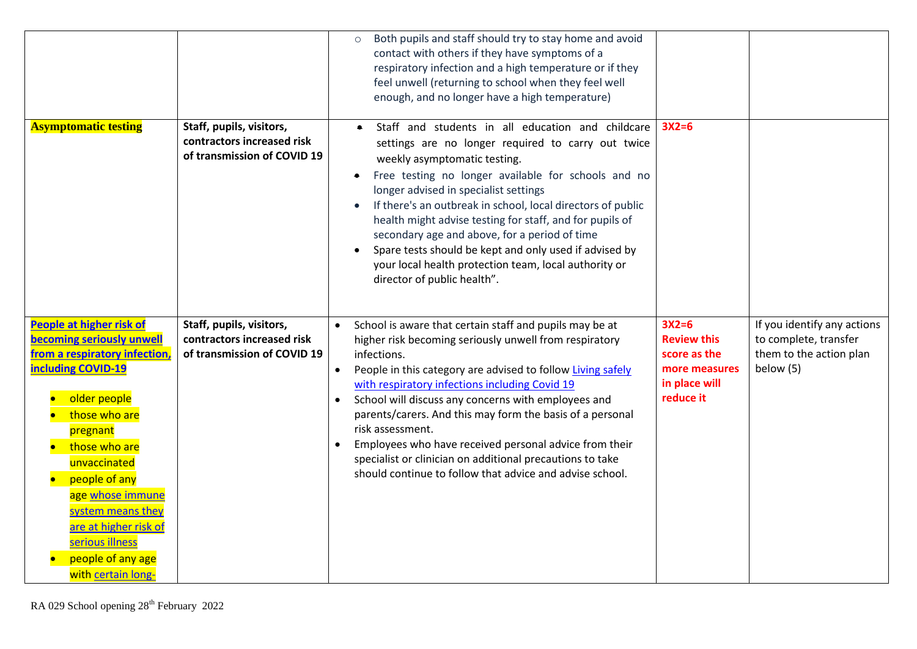|                                                                                                                                                                                                                                                                                                                                                           |                                                                                       | Both pupils and staff should try to stay home and avoid<br>contact with others if they have symptoms of a<br>respiratory infection and a high temperature or if they<br>feel unwell (returning to school when they feel well<br>enough, and no longer have a high temperature)                                                                                                                                                                                                                                                                                               |                                                                                              |                                                                                              |
|-----------------------------------------------------------------------------------------------------------------------------------------------------------------------------------------------------------------------------------------------------------------------------------------------------------------------------------------------------------|---------------------------------------------------------------------------------------|------------------------------------------------------------------------------------------------------------------------------------------------------------------------------------------------------------------------------------------------------------------------------------------------------------------------------------------------------------------------------------------------------------------------------------------------------------------------------------------------------------------------------------------------------------------------------|----------------------------------------------------------------------------------------------|----------------------------------------------------------------------------------------------|
| <b>Asymptomatic testing</b>                                                                                                                                                                                                                                                                                                                               | Staff, pupils, visitors,<br>contractors increased risk<br>of transmission of COVID 19 | Staff and students in all education and childcare<br>settings are no longer required to carry out twice<br>weekly asymptomatic testing.<br>Free testing no longer available for schools and no<br>longer advised in specialist settings<br>If there's an outbreak in school, local directors of public<br>health might advise testing for staff, and for pupils of<br>secondary age and above, for a period of time<br>Spare tests should be kept and only used if advised by<br>your local health protection team, local authority or<br>director of public health".        | $3X2=6$                                                                                      |                                                                                              |
| People at higher risk of<br><b>becoming seriously unwell</b><br>from a respiratory infection,<br><b>including COVID-19</b><br>older people<br>those who are<br>pregnant<br>those who are<br>unvaccinated<br>people of any<br>age whose immune<br>system means they<br>are at higher risk of<br>serious illness<br>people of any age<br>with certain long- | Staff, pupils, visitors,<br>contractors increased risk<br>of transmission of COVID 19 | School is aware that certain staff and pupils may be at<br>higher risk becoming seriously unwell from respiratory<br>infections.<br>People in this category are advised to follow Living safely<br>with respiratory infections including Covid 19<br>School will discuss any concerns with employees and<br>parents/carers. And this may form the basis of a personal<br>risk assessment.<br>Employees who have received personal advice from their<br>specialist or clinician on additional precautions to take<br>should continue to follow that advice and advise school. | $3X2=6$<br><b>Review this</b><br>score as the<br>more measures<br>in place will<br>reduce it | If you identify any actions<br>to complete, transfer<br>them to the action plan<br>below (5) |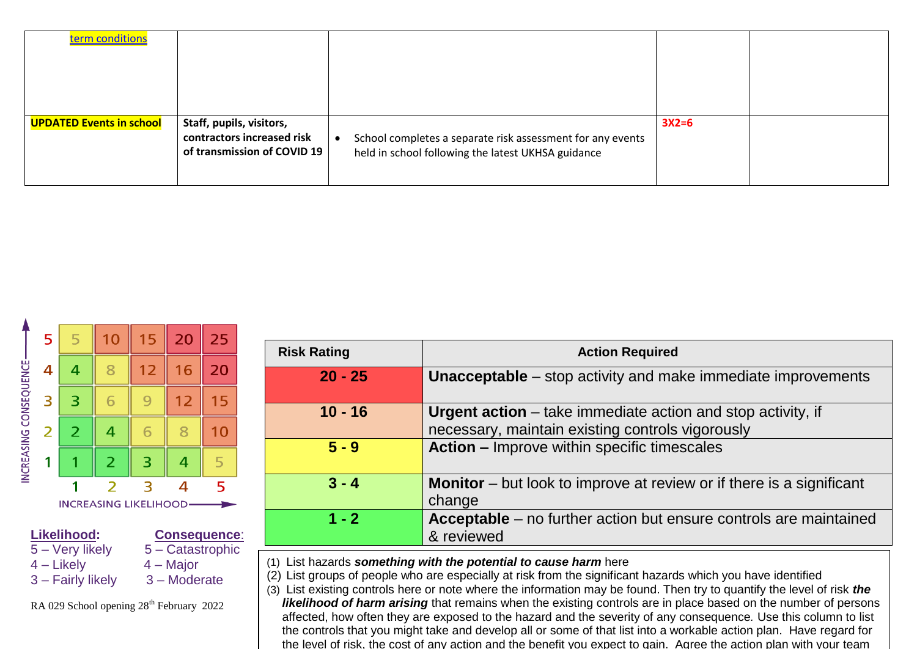| term conditions                 |                                                                                       |                                                                                                                  |         |  |
|---------------------------------|---------------------------------------------------------------------------------------|------------------------------------------------------------------------------------------------------------------|---------|--|
| <b>UPDATED Events in school</b> | Staff, pupils, visitors,<br>contractors increased risk<br>of transmission of COVID 19 | School completes a separate risk assessment for any events<br>held in school following the latest UKHSA guidance | $3X2=6$ |  |



| <b>Risk Rating</b> | <b>Action Required</b>                                                                                                 |
|--------------------|------------------------------------------------------------------------------------------------------------------------|
| $20 - 25$          | <b>Unacceptable</b> – stop activity and make immediate improvements                                                    |
| $10 - 16$          | <b>Urgent action</b> – take immediate action and stop activity, if<br>necessary, maintain existing controls vigorously |
| $5 - 9$            | <b>Action - Improve within specific timescales</b>                                                                     |
| $3 - 4$            | <b>Monitor</b> – but look to improve at review or if there is a significant<br>change                                  |
| $1 - 2$            | Acceptable - no further action but ensure controls are maintained<br>& reviewed                                        |

(1) List hazards *something with the potential to cause harm* here

(2) List groups of people who are especially at risk from the significant hazards which you have identified

(3) List existing controls here or note where the information may be found. Then try to quantify the level of risk *the likelihood of harm arising* that remains when the existing controls are in place based on the number of persons affected, how often they are exposed to the hazard and the severity of any consequence*.* Use this column to list the controls that you might take and develop all or some of that list into a workable action plan. Have regard for the level of risk, the cost of any action and the benefit you expect to gain. Agree the action plan with your team

RA 029 School opening 28<sup>th</sup> February 2022

 $3$  – Fairly likely